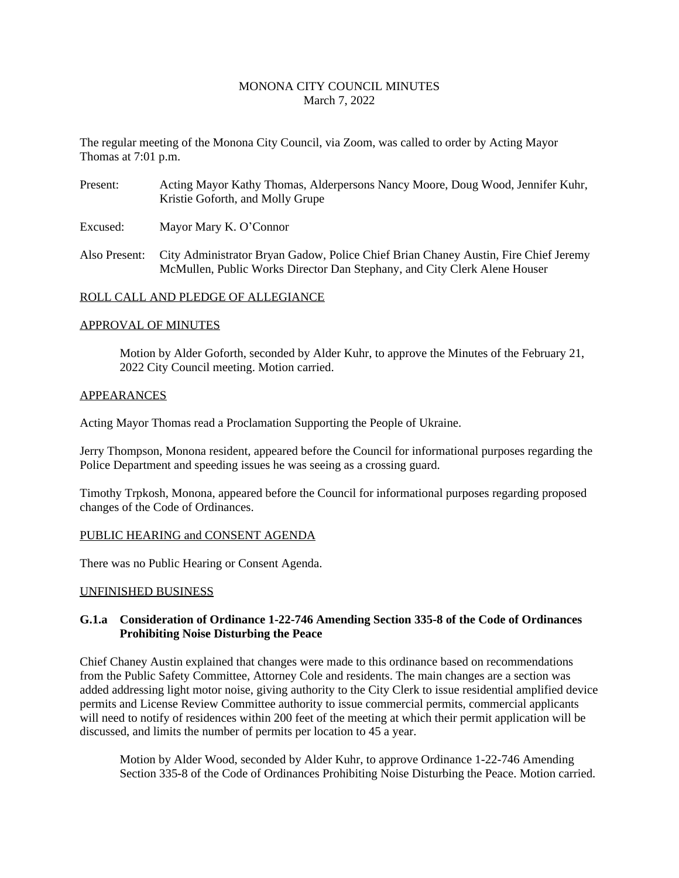# MONONA CITY COUNCIL MINUTES March 7, 2022

The regular meeting of the Monona City Council, via Zoom, was called to order by Acting Mayor Thomas at 7:01 p.m.

- Present: Acting Mayor Kathy Thomas, Alderpersons Nancy Moore, Doug Wood, Jennifer Kuhr, Kristie Goforth, and Molly Grupe
- Excused: Mayor Mary K. O'Connor
- Also Present: City Administrator Bryan Gadow, Police Chief Brian Chaney Austin, Fire Chief Jeremy McMullen, Public Works Director Dan Stephany, and City Clerk Alene Houser

### ROLL CALL AND PLEDGE OF ALLEGIANCE

### APPROVAL OF MINUTES

Motion by Alder Goforth, seconded by Alder Kuhr, to approve the Minutes of the February 21, 2022 City Council meeting. Motion carried.

### APPEARANCES

Acting Mayor Thomas read a Proclamation Supporting the People of Ukraine.

Jerry Thompson, Monona resident, appeared before the Council for informational purposes regarding the Police Department and speeding issues he was seeing as a crossing guard.

Timothy Trpkosh, Monona, appeared before the Council for informational purposes regarding proposed changes of the Code of Ordinances.

### PUBLIC HEARING and CONSENT AGENDA

There was no Public Hearing or Consent Agenda.

### UNFINISHED BUSINESS

# **G.1.a Consideration of Ordinance 1-22-746 Amending Section 335-8 of the Code of Ordinances Prohibiting Noise Disturbing the Peace**

Chief Chaney Austin explained that changes were made to this ordinance based on recommendations from the Public Safety Committee, Attorney Cole and residents. The main changes are a section was added addressing light motor noise, giving authority to the City Clerk to issue residential amplified device permits and License Review Committee authority to issue commercial permits, commercial applicants will need to notify of residences within 200 feet of the meeting at which their permit application will be discussed, and limits the number of permits per location to 45 a year.

Motion by Alder Wood, seconded by Alder Kuhr, to approve Ordinance 1-22-746 Amending Section 335-8 of the Code of Ordinances Prohibiting Noise Disturbing the Peace. Motion carried.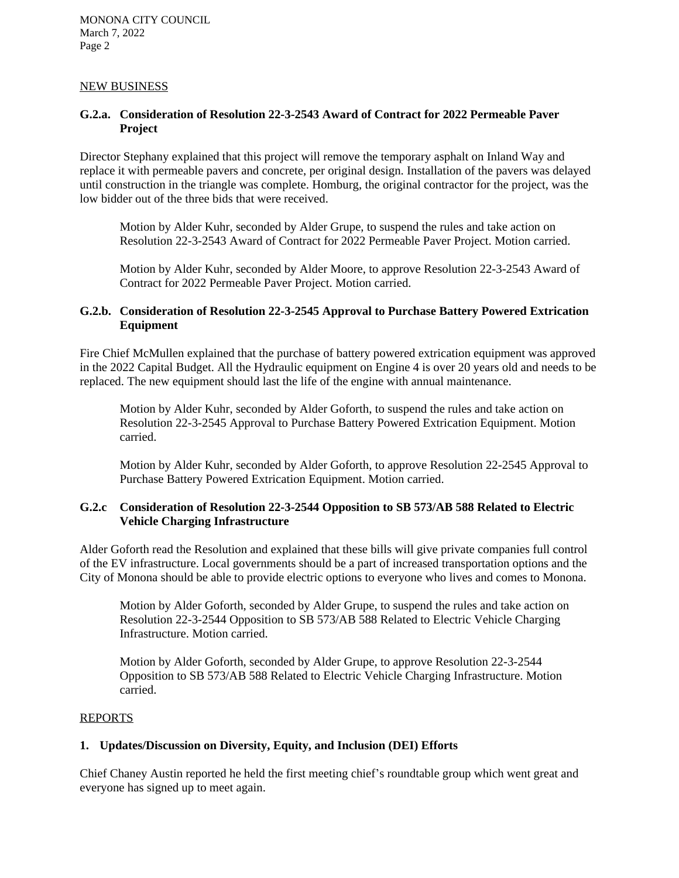# NEW BUSINESS

# **G.2.a. Consideration of Resolution 22-3-2543 Award of Contract for 2022 Permeable Paver Project**

Director Stephany explained that this project will remove the temporary asphalt on Inland Way and replace it with permeable pavers and concrete, per original design. Installation of the pavers was delayed until construction in the triangle was complete. Homburg, the original contractor for the project, was the low bidder out of the three bids that were received.

Motion by Alder Kuhr, seconded by Alder Grupe, to suspend the rules and take action on Resolution 22-3-2543 Award of Contract for 2022 Permeable Paver Project. Motion carried.

Motion by Alder Kuhr, seconded by Alder Moore, to approve Resolution 22-3-2543 Award of Contract for 2022 Permeable Paver Project. Motion carried.

# **G.2.b. Consideration of Resolution 22-3-2545 Approval to Purchase Battery Powered Extrication Equipment**

Fire Chief McMullen explained that the purchase of battery powered extrication equipment was approved in the 2022 Capital Budget. All the Hydraulic equipment on Engine 4 is over 20 years old and needs to be replaced. The new equipment should last the life of the engine with annual maintenance.

Motion by Alder Kuhr, seconded by Alder Goforth, to suspend the rules and take action on Resolution 22-3-2545 Approval to Purchase Battery Powered Extrication Equipment. Motion carried.

Motion by Alder Kuhr, seconded by Alder Goforth, to approve Resolution 22-2545 Approval to Purchase Battery Powered Extrication Equipment. Motion carried.

# **G.2.c Consideration of Resolution 22-3-2544 Opposition to SB 573/AB 588 Related to Electric Vehicle Charging Infrastructure**

Alder Goforth read the Resolution and explained that these bills will give private companies full control of the EV infrastructure. Local governments should be a part of increased transportation options and the City of Monona should be able to provide electric options to everyone who lives and comes to Monona.

Motion by Alder Goforth, seconded by Alder Grupe, to suspend the rules and take action on Resolution 22-3-2544 Opposition to SB 573/AB 588 Related to Electric Vehicle Charging Infrastructure. Motion carried.

Motion by Alder Goforth, seconded by Alder Grupe, to approve Resolution 22-3-2544 Opposition to SB 573/AB 588 Related to Electric Vehicle Charging Infrastructure. Motion carried.

### REPORTS

# **1. Updates/Discussion on Diversity, Equity, and Inclusion (DEI) Efforts**

Chief Chaney Austin reported he held the first meeting chief's roundtable group which went great and everyone has signed up to meet again.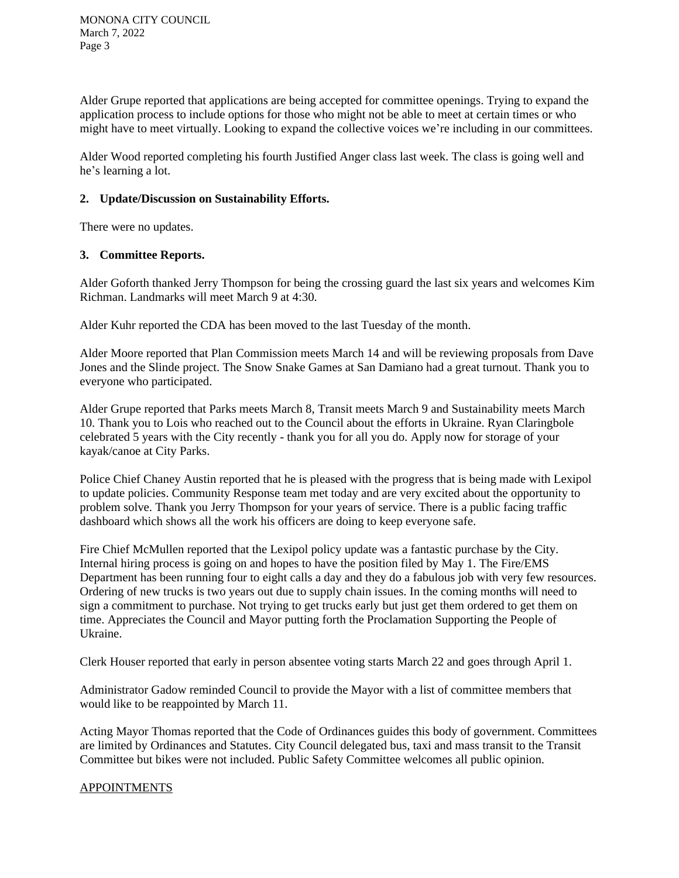Alder Grupe reported that applications are being accepted for committee openings. Trying to expand the application process to include options for those who might not be able to meet at certain times or who might have to meet virtually. Looking to expand the collective voices we're including in our committees.

Alder Wood reported completing his fourth Justified Anger class last week. The class is going well and he's learning a lot.

# **2. Update/Discussion on Sustainability Efforts.**

There were no updates.

# **3. Committee Reports.**

Alder Goforth thanked Jerry Thompson for being the crossing guard the last six years and welcomes Kim Richman. Landmarks will meet March 9 at 4:30.

Alder Kuhr reported the CDA has been moved to the last Tuesday of the month.

Alder Moore reported that Plan Commission meets March 14 and will be reviewing proposals from Dave Jones and the Slinde project. The Snow Snake Games at San Damiano had a great turnout. Thank you to everyone who participated.

Alder Grupe reported that Parks meets March 8, Transit meets March 9 and Sustainability meets March 10. Thank you to Lois who reached out to the Council about the efforts in Ukraine. Ryan Claringbole celebrated 5 years with the City recently - thank you for all you do. Apply now for storage of your kayak/canoe at City Parks.

Police Chief Chaney Austin reported that he is pleased with the progress that is being made with Lexipol to update policies. Community Response team met today and are very excited about the opportunity to problem solve. Thank you Jerry Thompson for your years of service. There is a public facing traffic dashboard which shows all the work his officers are doing to keep everyone safe.

Fire Chief McMullen reported that the Lexipol policy update was a fantastic purchase by the City. Internal hiring process is going on and hopes to have the position filed by May 1. The Fire/EMS Department has been running four to eight calls a day and they do a fabulous job with very few resources. Ordering of new trucks is two years out due to supply chain issues. In the coming months will need to sign a commitment to purchase. Not trying to get trucks early but just get them ordered to get them on time. Appreciates the Council and Mayor putting forth the Proclamation Supporting the People of Ukraine.

Clerk Houser reported that early in person absentee voting starts March 22 and goes through April 1.

Administrator Gadow reminded Council to provide the Mayor with a list of committee members that would like to be reappointed by March 11.

Acting Mayor Thomas reported that the Code of Ordinances guides this body of government. Committees are limited by Ordinances and Statutes. City Council delegated bus, taxi and mass transit to the Transit Committee but bikes were not included. Public Safety Committee welcomes all public opinion.

# APPOINTMENTS